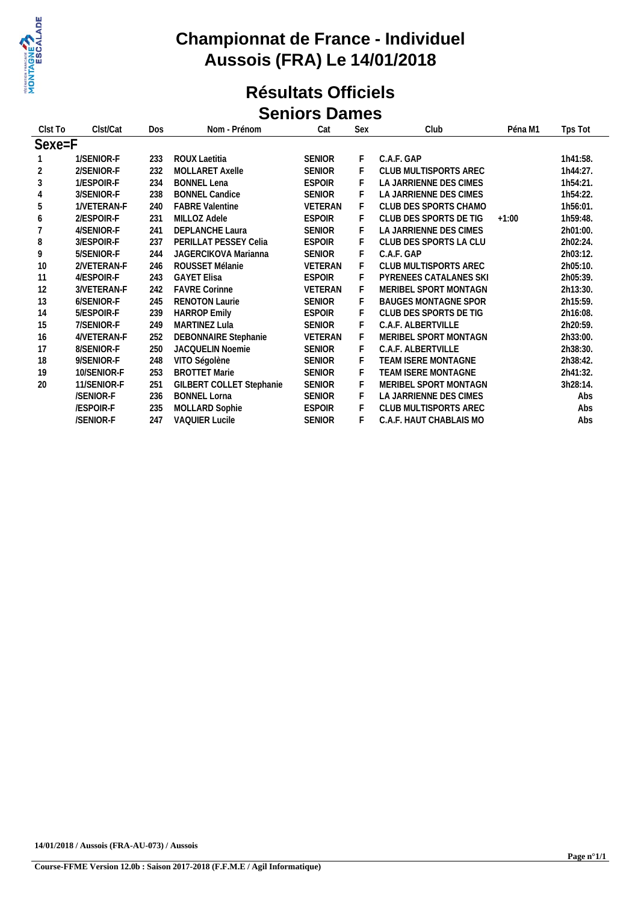

### **Championnat de France - Individuel Aussois (FRA) Le 14/01/2018**

#### **Résultats Officiels Seniors Dames**

| Clst To    | Clst/Cat    | <b>Dos</b> | Nom - Prénom                | Cat           | Sex | Club                              | Tps Tot<br>Péna M1 |          |
|------------|-------------|------------|-----------------------------|---------------|-----|-----------------------------------|--------------------|----------|
| $Sexe = F$ |             |            |                             |               |     |                                   |                    |          |
|            | 1/SENIOR-F  | 233        | ROUX Laetitia               | <b>SENIOR</b> | F   | C.A.F. GAP                        |                    | 1h41:58. |
| 2          | 2/SENIOR-F  | 232        | MOLLARET Axelle             | SENIOR        | F   | CLUB MULTISPORTS AREC             |                    | 1h44:27. |
| $\sqrt{3}$ | 1/ESPOIR-F  | 234        | <b>BONNEL Lena</b>          | <b>ESPOIR</b> | F   | LA JARRIENNE DES CIMES            |                    | 1h54:21. |
| 4          | 3/SENIOR-F  | 238        | <b>BONNEL Candice</b>       | <b>SENIOR</b> |     | LA JARRIENNE DES CIMES            |                    | 1h54:22. |
| 5          | 1/VETERAN-F | 240        | <b>FABRE Valentine</b>      | VETERAN       | F   | CLUB DES SPORTS CHAMO<br>1h56:01. |                    |          |
| 6          | 2/ESPOIR-F  | 231        | MILLOZ Adele                | <b>ESPOIR</b> | F   | CLUB DES SPORTS DE TIG<br>$+1:00$ |                    | 1h59:48. |
|            | 4/SENIOR-F  | 241        | <b>DEPLANCHE Laura</b>      | <b>SENIOR</b> | F   | LA JARRIENNE DES CIMES            |                    | 2h01:00. |
| 8          | 3/ESPOIR-F  | 237        | PERILLAT PESSEY Celia       | <b>ESPOIR</b> | F   | CLUB DES SPORTS LA CLU            |                    | 2h02:24. |
| 9          | 5/SENIOR-F  | 244        | <b>JAGERCIKOVA Marianna</b> | SENIOR        |     | C.A.F. GAP                        |                    | 2h03:12. |
| 10         | 2/VETERAN-F | 246        | ROUSSET Mélanie             | VETERAN       | F   | CLUB MULTISPORTS AREC             |                    | 2h05:10. |
| 11         | 4/ESPOIR-F  | 243        | <b>GAYET Elisa</b>          | <b>ESPOIR</b> |     | PYRENEES CATALANES SKI            |                    | 2h05:39. |
| 12         | 3/VETERAN-F | 242        | <b>FAVRE Corinne</b>        | VETERAN       | F   | MERIBEL SPORT MONTAGN             |                    | 2h13:30. |
| 13         | 6/SENIOR-F  | 245        | <b>RENOTON Laurie</b>       | <b>SENIOR</b> | F   | <b>BAUGES MONTAGNE SPOR</b>       |                    | 2h15:59. |
| 14         | 5/ESPOIR-F  | 239        | <b>HARROP Emily</b>         | <b>ESPOIR</b> | F   | CLUB DES SPORTS DE TIG            |                    | 2h16:08. |
| 15         | 7/SENIOR-F  | 249        | <b>MARTINEZ Lula</b>        | <b>SENIOR</b> |     | C.A.F. ALBERTVILLE                |                    | 2h20:59. |
| 16         | 4/VETERAN-F | 252        | DEBONNAIRE Stephanie        | VETERAN       | F   | MERIBEL SPORT MONTAGN             |                    | 2h33:00. |
| 17         | 8/SENIOR-F  | 250        | <b>JACQUELIN Noemie</b>     | <b>SENIOR</b> | F   | C.A.F. ALBERTVILLE                |                    | 2h38:30. |
| 18         | 9/SENIOR-F  | 248        | VITO Ségolène               | <b>SENIOR</b> | F   | TEAM ISERE MONTAGNE               |                    | 2h38:42. |
| 19         | 10/SENIOR-F | 253        | <b>BROTTET Marie</b>        | <b>SENIOR</b> | F   | TEAM ISERE MONTAGNE               |                    | 2h41:32. |
| 20         | 11/SENIOR-F | 251        | GILBERT COLLET Stephanie    | <b>SENIOR</b> | F   | MERIBEL SPORT MONTAGN             |                    | 3h28:14. |
|            | /SENIOR-F   | 236        | <b>BONNEL Lorna</b>         | <b>SENIOR</b> | F   | LA JARRIENNE DES CIMES            |                    | Abs      |
|            | /ESPOIR-F   | 235        | MOLLARD Sophie              | <b>ESPOIR</b> | F   | CLUB MULTISPORTS AREC             |                    | Abs      |
|            | /SENIOR-F   | 247        | <b>VAQUIER Lucile</b>       | <b>SENIOR</b> |     | C.A.F. HAUT CHABLAIS MO           |                    | Abs      |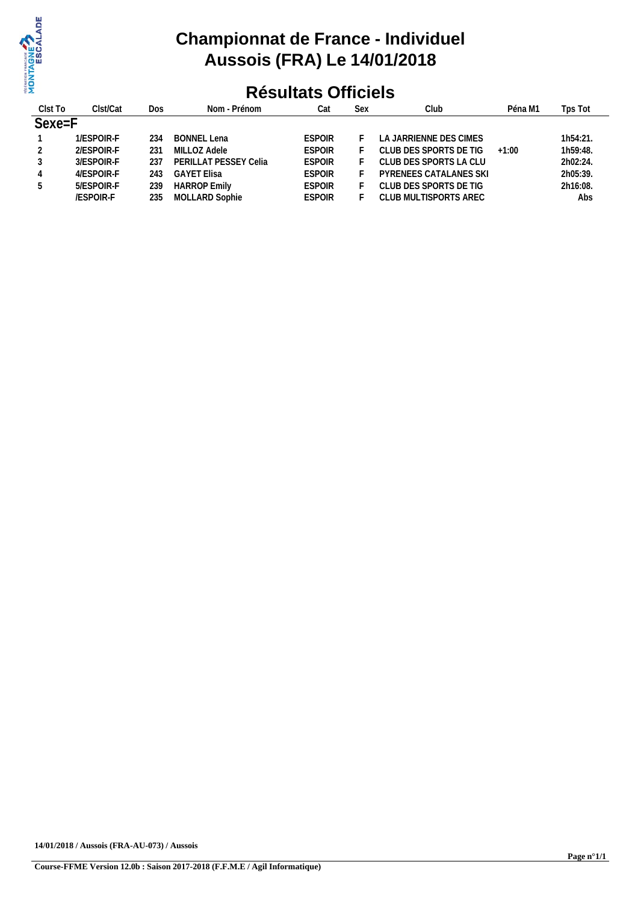

# **Championnat de France - Individuel Aussois (FRA) Le 14/01/2018**

## **Résultats Officiels**

| Clst To | Clst/Cat         | Dos | Nom - Prénom          | Cat           | Sex | Club                   | Péna M1 | Tps Tot  |  |
|---------|------------------|-----|-----------------------|---------------|-----|------------------------|---------|----------|--|
| Sexe=F  |                  |     |                       |               |     |                        |         |          |  |
|         | 1/ESPOIR-F       | 234 | BONNEL Lena           | <b>ESPOIR</b> |     | LA JARRIENNE DES CIMES |         | 1h54:21. |  |
|         | 2/ESPOIR-F       | 231 | MILLOZ Adele          | <b>ESPOIR</b> |     | CLUB DES SPORTS DE TIG | $+1:00$ | 1h59:48. |  |
| 3       | 3/ESPOIR-F       | 237 | PERILLAT PESSEY Celia | <b>ESPOIR</b> |     | CLUB DES SPORTS LA CLU |         | 2h02:24. |  |
| 4       | 4/ESPOIR-F       | 243 | <b>GAYET Elisa</b>    | <b>ESPOIR</b> |     | PYRENEES CATALANES SKI |         | 2h05:39. |  |
| 5       | 5/ESPOIR-F       | 239 | <b>HARROP Emily</b>   | <b>ESPOIR</b> |     | CLUB DES SPORTS DE TIG |         | 2h16:08. |  |
|         | <b>/ESPOIR-F</b> | 235 | MOLLARD Sophie        | <b>ESPOIR</b> |     | CLUB MULTISPORTS AREC  |         | Abs      |  |